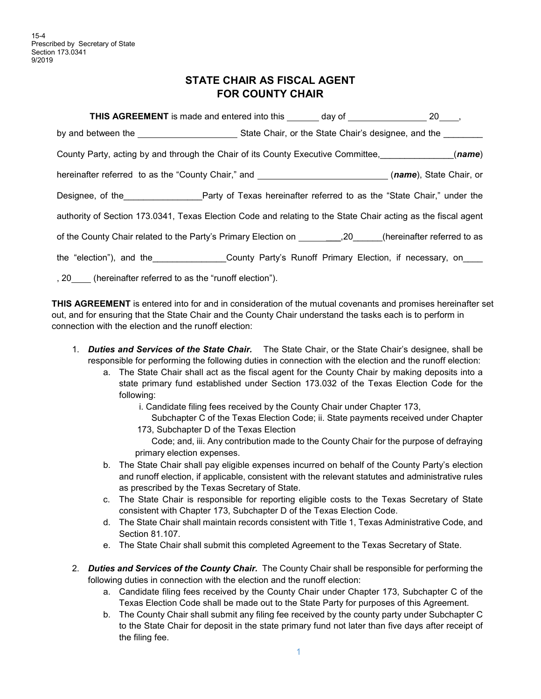## **STATE CHAIR AS FISCAL AGENT FOR COUNTY CHAIR**

| <b>THIS AGREEMENT</b> is made and entered into this _______ day of __________________ 20____,                 |  |  |  |
|---------------------------------------------------------------------------------------------------------------|--|--|--|
| by and between the ___________________________State Chair, or the State Chair's designee, and the ________    |  |  |  |
| County Party, acting by and through the Chair of its County Executive Committee, (name)                       |  |  |  |
| hereinafter referred to as the "County Chair," and ______________________________(name), State Chair, or      |  |  |  |
|                                                                                                               |  |  |  |
| authority of Section 173.0341, Texas Election Code and relating to the State Chair acting as the fiscal agent |  |  |  |
| of the County Chair related to the Party's Primary Election on __________,20______(hereinafter referred to as |  |  |  |
| the "election"), and the _________________County Party's Runoff Primary Election, if necessary, on____        |  |  |  |
| , 20 (hereinafter referred to as the "runoff election").                                                      |  |  |  |

**THIS AGREEMENT** is entered into for and in consideration of the mutual covenants and promises hereinafter set out, and for ensuring that the State Chair and the County Chair understand the tasks each is to perform in connection with the election and the runoff election:

- 1. *Duties and Services of the State Chair.* The State Chair, or the State Chair's designee, shall be responsible for performing the following duties in connection with the election and the runoff election:
	- a. The State Chair shall act as the fiscal agent for the County Chair by making deposits into a state primary fund established under Section 173.032 of the Texas Election Code for the following:
		- i. Candidate filing fees received by the County Chair under Chapter 173,
		- Subchapter C of the Texas Election Code; ii. State payments received under Chapter 173, Subchapter D of the Texas Election

Code; and, iii. Any contribution made to the County Chair for the purpose of defraying primary election expenses.

- b. The State Chair shall pay eligible expenses incurred on behalf of the County Party's election and runoff election, if applicable, consistent with the relevant statutes and administrative rules as prescribed by the Texas Secretary of State.
- c. The State Chair is responsible for reporting eligible costs to the Texas Secretary of State consistent with Chapter 173, Subchapter D of the Texas Election Code.
- d. The State Chair shall maintain records consistent with Title 1, Texas Administrative Code, and Section 81.107.
- e. The State Chair shall submit this completed Agreement to the Texas Secretary of State.
- 2. *Duties and Services of the County Chair.* The County Chair shall be responsible for performing the following duties in connection with the election and the runoff election:
	- a. Candidate filing fees received by the County Chair under Chapter 173, Subchapter C of the Texas Election Code shall be made out to the State Party for purposes of this Agreement.
	- b. The County Chair shall submit any filing fee received by the county party under Subchapter C to the State Chair for deposit in the state primary fund not later than five days after receipt of the filing fee.